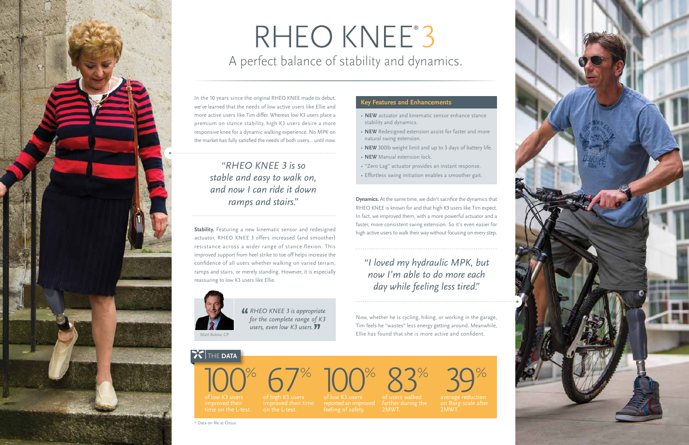In the 10 years since the original RHEO KNEE made its debut, we've learned that the needs of low active users like Ellie and more active users like Tim differ. Whereas low K3 users place a premium on stance stability, high K3 users desire a more responsive knee for a dynamic walking experience. No MPK on the market has fully satisfied the needs of both users... until now.

**Stability.** Featuring a new kinematic sensor and redesigned actuator, RHEO KNEE 3 offers increased (and smoother) resistance across a wider range of stance flexion. This improved support from heel strike to toe off helps increase the confidence of all users whether walking on varied terrain, ramps and stairs, or merely standing. However, it is especially reassuring to low K3 users like Ellie.

> 2MWT. R<sub>S</sub><sup>%</sup>



# RHEO KNEE<sup>®</sup>3 A perfect balance of stability and dynamics.

**Dynamics.** At the same time, we didn't sacrifice the dynamics that RHEO KNEE is known for and that high K3 users like Tim expect. In fact, we improved them, with a more powerful actuator and a faster, more consistent swing extension. So it's even easier for high active users to walk their way without focusing on every step.



Now, whether he is cycling, hiking, or working in the garage, Tim feels he "wastes" less energy getting around. Meanwhile, Ellie has found that she is more active and confident.

## **THE DATA**

2MWT.





of low K3 users

*RHEO KNEE 3 is appropriate* **"** *for the complete range of K3 users, even low K3 users.***"**



## *"RHEO KNEE 3 is so stable and easy to walk on, and now I can ride it down ramps and stairs."*

- **NEW** actuator and kinematic sensor enhance stance stability and dynamics.
- **NEW** Redesigned extension assist for faster and more natural swing extension.
- **NEW** 300lb weight limit and up to 3 days of battery life.
- **NEW** Manual extension lock.
- "Zero Lag" actuator provides an instant response.
- Effortless swing initiation enables a smoother gait.

### **Key Features and Enhancements**

\* Data on file at Össur.



### *"I loved my hydraulic MPK, but now I'm able to do more each day while feeling less tired."*